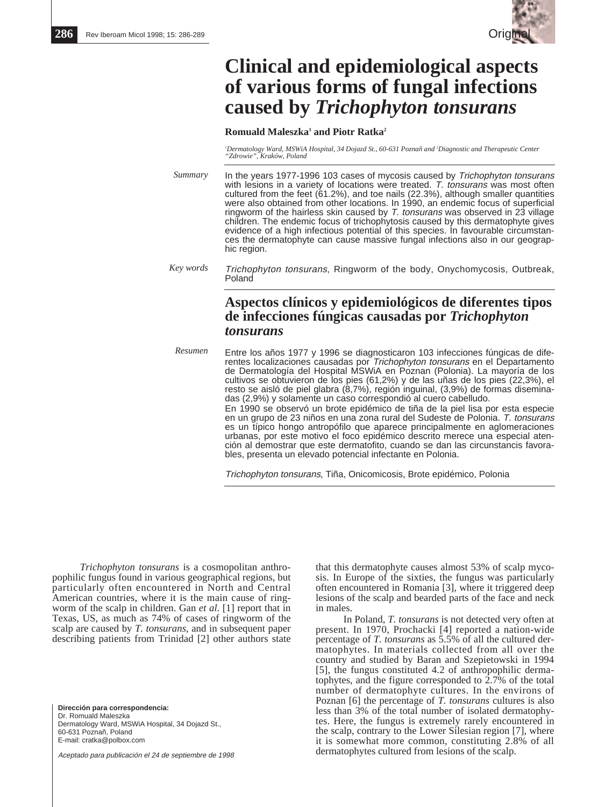

# **Clinical and epidemiological aspects of various forms of fungal infections caused by** *Trichophyton tonsurans*

#### **Romuald Maleszka1 and Piotr Ratka2**

*1 Dermatology Ward, MSWiA Hospital, 34 Dojazd St., 60-631 Poznañ and 2 Diagnostic and Therapeutic Center "Zdrowie", Kraków, Poland*

- In the years 1977-1996 103 cases of mycosis caused by Trichophyton tonsurans with lesions in a variety of locations were treated. T. tonsurans was most often cultured from the feet (61.2%), and toe nails (22.3%), although smaller quantities were also obtained from other locations. In 1990, an endemic focus of superficial ringworm of the hairless skin caused by  $T$ . tonsurans was observed in 23 village children. The endemic focus of trichophytosis caused by this dermatophyte gives evidence of a high infectious potential of this species. In favourable circumstances the dermatophyte can cause massive fungal infections also in our geographic region. *Summary*
- Trichophyton tonsurans, Ringworm of the body, Onychomycosis, Outbreak, Poland *Key words*

# **Aspectos clínicos y epidemiológicos de diferentes tipos de infecciones fúngicas causadas por** *Trichophyton tonsurans*

Entre los años 1977 y 1996 se diagnosticaron 103 infecciones fúngicas de diferentes localizaciones causadas por Trichophyton tonsurans en el Departamento de Dermatología del Hospital MSWiA en Poznan (Polonia). La mayoría de los cultivos se obtuvieron de los pies (61,2%) y de las uñas de los pies (22,3%), el resto se aisló de piel glabra (8,7%), región inguinal, (3,9%) de formas diseminadas (2,9%) y solamente un caso correspondió al cuero cabelludo. En 1990 se observó un brote epidémico de tiña de la piel lisa por esta especie en un grupo de 23 niños en una zona rural del Sudeste de Polonia. T. tonsurans es un típico hongo antropófilo que aparece principalmente en aglomeraciones urbanas, por este motivo el foco epidémico descrito merece una especial atención al demostrar que este dermatofito, cuando se dan las circunstancis favorables, presenta un elevado potencial infectante en Polonia. *Resumen*

Trichophyton tonsurans, Tiña, Onicomicosis, Brote epidémico, Polonia

*Trichophyton tonsurans* is a cosmopolitan anthropophilic fungus found in various geographical regions, but particularly often encountered in North and Central American countries, where it is the main cause of ringworm of the scalp in children. Gan *et al*. [1] report that in Texas, US, as much as 74% of cases of ringworm of the scalp are caused by *T. tonsurans*, and in subsequent paper describing patients from Trinidad [2] other authors state

**Dirección para correspondencia:** Dr. Romuald Maleszka Dermatology Ward, MSWiA Hospital, 34 Dojazd St., 60-631 Poznañ, Poland E-mail: cratka@polbox.com

Aceptado para publicación el 24 de septiembre de 1998

that this dermatophyte causes almost 53% of scalp mycosis. In Europe of the sixties, the fungus was particularly often encountered in Romania [3], where it triggered deep lesions of the scalp and bearded parts of the face and neck in males.

In Poland, *T. tonsurans* is not detected very often at present. In 1970, Prochacki [4] reported a nation-wide percentage of *T. tonsurans* as 5.5% of all the cultured dermatophytes. In materials collected from all over the country and studied by Baran and Szepietowski in 1994 [5], the fungus constituted 4.2 of anthropophilic dermatophytes, and the figure corresponded to  $2.7\%$  of the total number of dermatophyte cultures. In the environs of Poznan [6] the percentage of *T. tonsurans* cultures is also less than 3% of the total number of isolated dermatophytes. Here, the fungus is extremely rarely encountered in the scalp, contrary to the Lower Silesian region [7], where it is somewhat more common, constituting 2.8% of all dermatophytes cultured from lesions of the scalp.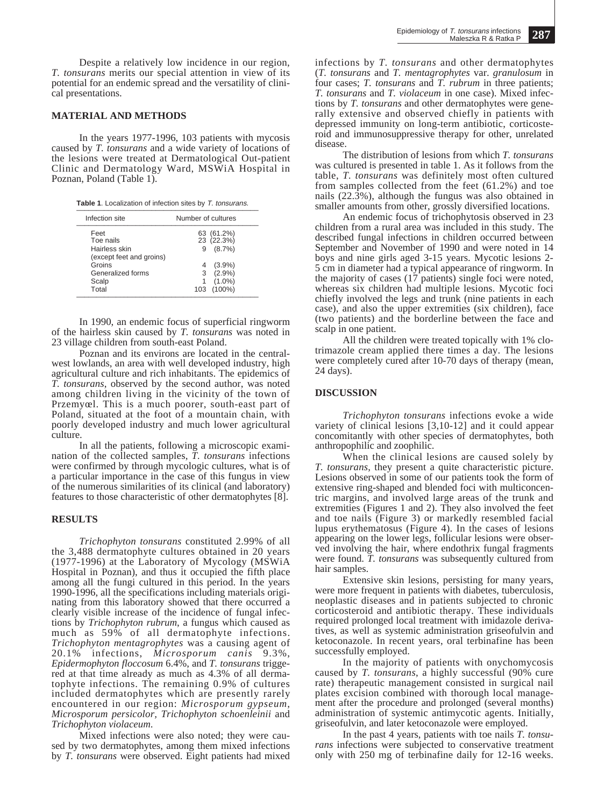Despite a relatively low incidence in our region, *T. tonsurans* merits our special attention in view of its potential for an endemic spread and the versatility of clinical presentations.

#### **MATERIAL AND METHODS**

In the years 1977-1996, 103 patients with mycosis caused by *T. tonsurans* and a wide variety of locations of the lesions were treated at Dermatological Out-patient Clinic and Dermatology Ward, MSWiA Hospital in Poznan, Poland (Table 1).

Table 1. Localization of infection sites by T. tonsurans.

| Infection site                                                 | Number of cultures                         |
|----------------------------------------------------------------|--------------------------------------------|
| Feet<br>Toe nails<br>Hairless skin<br>(except feet and groins) | 63 (61.2%)<br>23 (22.3%)<br>$(8.7\%)$<br>9 |
| Groins                                                         | $(3.9\%)$                                  |
| Generalized forms                                              | $(2.9\%)$<br>3                             |
| Scalp                                                          | $(1.0\%)$                                  |
| Total                                                          | $(100\%)$<br>103                           |

In 1990, an endemic focus of superficial ringworm of the hairless skin caused by *T. tonsurans* was noted in 23 village children from south-east Poland.

Poznan and its environs are located in the centralwest lowlands, an area with well developed industry, high agricultural culture and rich inhabitants. The epidemics of *T. tonsurans*, observed by the second author, was noted among children living in the vicinity of the town of Przemyœl. This is a much poorer, south-east part of Poland, situated at the foot of a mountain chain, with poorly developed industry and much lower agricultural culture.

In all the patients, following a microscopic examination of the collected samples, *T. tonsurans* infections were confirmed by through mycologic cultures, what is of a particular importance in the case of this fungus in view of the numerous similarities of its clinical (and laboratory) features to those characteristic of other dermatophytes [8].

## **RESULTS**

*Trichophyton tonsurans* constituted 2.99% of all the 3,488 dermatophyte cultures obtained in 20 years (1977-1996) at the Laboratory of Mycology (MSWiA Hospital in Poznan), and thus it occupied the fifth place among all the fungi cultured in this period. In the years 1990-1996, all the specifications including materials originating from this laboratory showed that there occurred a clearly visible increase of the incidence of fungal infections by *Trichophyton rubrum*, a fungus which caused as much as 59% of all dermatophyte infections. *Trichophyton mentagrophytes* was a causing agent of 20.1% infections, *Microsporum canis* 9.3%, *Epidermophyton floccosum* 6.4%, and *T. tonsurans* triggered at that time already as much as 4.3% of all dermatophyte infections. The remaining 0.9% of cultures included dermatophytes which are presently rarely encountered in our region: *Microsporum gypseum*, *Microsporum persicolor, Trichophyton schoenleinii* and *Trichophyton violaceum*.

Mixed infections were also noted; they were caused by two dermatophytes, among them mixed infections by *T. tonsurans* were observed. Eight patients had mixed infections by *T. tonsurans* and other dermatophytes (*T. tonsurans* and *T. mentagrophytes* var. *granulosum* in four cases; *T. tonsurans* and *T. rubrum* in three patients; *T. tonsurans* and *T. violaceum* in one case). Mixed infections by *T. tonsurans* and other dermatophytes were generally extensive and observed chiefly in patients with depressed immunity on long-term antibiotic, corticosteroid and immunosuppressive therapy for other, unrelated disease.

The distribution of lesions from which *T. tonsurans* was cultured is presented in table 1. As it follows from the table, *T. tonsurans* was definitely most often cultured from samples collected from the feet (61.2%) and toe nails  $(22.3\%)$ , although the fungus was also obtained in smaller amounts from other, grossly diversified locations.

An endemic focus of trichophytosis observed in 23 children from a rural area was included in this study. The described fungal infections in children occurred between September and November of 1990 and were noted in 14 boys and nine girls aged 3-15 years. Mycotic lesions 2- 5 cm in diameter had a typical appearance of ringworm. In the majority of cases (17 patients) single foci were noted, whereas six children had multiple lesions. Mycotic foci chiefly involved the legs and trunk (nine patients in each case), and also the upper extremities (six children), face (two patients) and the borderline between the face and scalp in one patient.

All the children were treated topically with 1% clotrimazole cream applied there times a day. The lesions were completely cured after 10-70 days of therapy (mean, 24 days).

#### **DISCUSSION**

*Trichophyton tonsurans* infections evoke a wide variety of clinical lesions [3,10-12] and it could appear concomitantly with other species of dermatophytes, both anthropophilic and zoophilic.

When the clinical lesions are caused solely by *T. tonsurans*, they present a quite characteristic picture. Lesions observed in some of our patients took the form of extensive ring-shaped and blended foci with multiconcentric margins, and involved large areas of the trunk and extremities (Figures 1 and 2). They also involved the feet and toe nails (Figure 3) or markedly resembled facial lupus erythematosus (Figure 4). In the cases of lesions appearing on the lower legs, follicular lesions were observed involving the hair, where endothrix fungal fragments were found. *T. tonsurans* was subsequently cultured from hair samples.

Extensive skin lesions, persisting for many years, were more frequent in patients with diabetes, tuberculosis, neoplastic diseases and in patients subjected to chronic corticosteroid and antibiotic therapy. These individuals required prolonged local treatment with imidazole derivatives, as well as systemic administration griseofulvin and ketoconazole. In recent years, oral terbinafine has been successfully employed.

In the majority of patients with onychomycosis caused by *T. tonsurans*, a highly successful (90% cure rate) therapeutic management consisted in surgical nail plates excision combined with thorough local management after the procedure and prolonged (several months) administration of systemic antimycotic agents. Initially, griseofulvin, and later ketoconazole were employed.

In the past 4 years, patients with toe nails *T. tonsurans* infections were subjected to conservative treatment only with 250 mg of terbinafine daily for 12-16 weeks.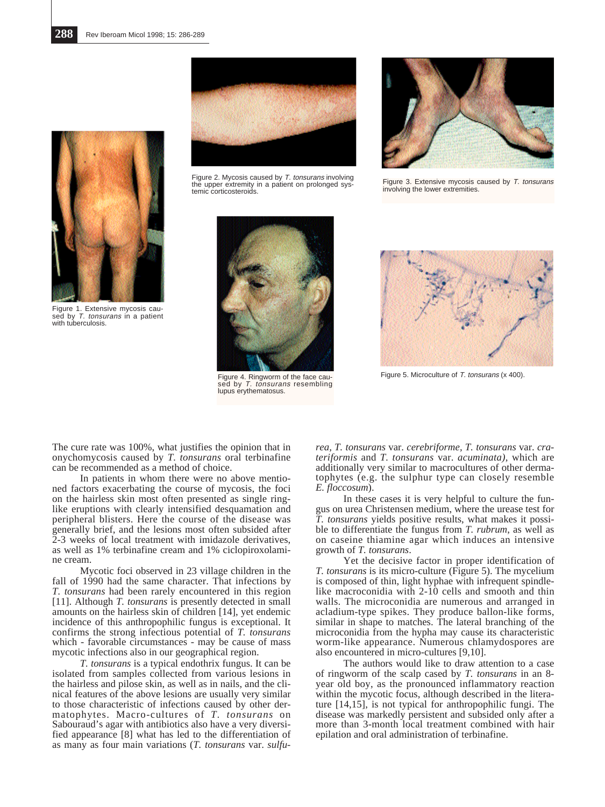

Figure 2. Mycosis caused by T. tonsurans involving the upper extremity in a patient on prolonged systemic corticosteroids.



Figure 3. Extensive mycosis caused by T. tonsurans involving the lower extremities.



Figure 1. Extensive mycosis caused by T. tonsurans in a patient with tuberculosis.



sed by T. tonsurans resembling lupus erythematosus.



Figure 4. Ringworm of the face cau-<br>
Figure 5. Microculture of T. tonsurans (x 400).

The cure rate was 100%, what justifies the opinion that in onychomycosis caused by *T. tonsurans* oral terbinafine can be recommended as a method of choice.

In patients in whom there were no above mentioned factors exacerbating the course of mycosis, the foci on the hairless skin most often presented as single ringlike eruptions with clearly intensified desquamation and peripheral blisters. Here the course of the disease was generally brief, and the lesions most often subsided after 2-3 weeks of local treatment with imidazole derivatives, as well as 1% terbinafine cream and 1% ciclopiroxolamine cream.

Mycotic foci observed in 23 village children in the fall of 1990 had the same character. That infections by *T. tonsurans* had been rarely encountered in this region [11]. Although *T. tonsurans* is presently detected in small amounts on the hairless skin of children [14], yet endemic incidence of this anthropophilic fungus is exceptional. It confirms the strong infectious potential of *T. tonsurans* which - favorable circumstances - may be cause of mass mycotic infections also in our geographical region.

*T. tonsurans* is a typical endothrix fungus. It can be isolated from samples collected from various lesions in the hairless and pilose skin, as well as in nails, and the clinical features of the above lesions are usually very similar to those characteristic of infections caused by other dermatophytes. Macro-cultures of *T. tonsurans* on Sabouraud's agar with antibiotics also have a very diversified appearance [8] what has led to the differentiation of as many as four main variations (*T. tonsurans* var. *sulfu-*

*rea, T. tonsurans* var. *cerebriforme, T. tonsurans* var. *crateriformis* and *T. tonsurans* var. *acuminata),* which are additionally very similar to macrocultures of other dermatophytes (e.g. the sulphur type can closely resemble *E. floccosum*).

In these cases it is very helpful to culture the fungus on urea Christensen medium, where the urease test for *T. tonsurans* yields positive results, what makes it possible to differentiate the fungus from *T. rubrum*, as well as on caseine thiamine agar which induces an intensive growth of *T. tonsurans*.

Yet the decisive factor in proper identification of *T. tonsurans* is its micro-culture (Figure 5). The mycelium is composed of thin, light hyphae with infrequent spindlelike macroconidia with 2-10 cells and smooth and thin walls. The microconidia are numerous and arranged in acladium-type spikes. They produce ballon-like forms, similar in shape to matches. The lateral branching of the microconidia from the hypha may cause its characteristic worm-like appearance. Numerous chlamydospores are also encountered in micro-cultures [9,10].

The authors would like to draw attention to a case of ringworm of the scalp cased by *T. tonsurans* in an 8 year old boy, as the pronounced inflammatory reaction within the mycotic focus, although described in the literature [14,15], is not typical for anthropophilic fungi. The disease was markedly persistent and subsided only after a more than 3-month local treatment combined with hair epilation and oral administration of terbinafine.